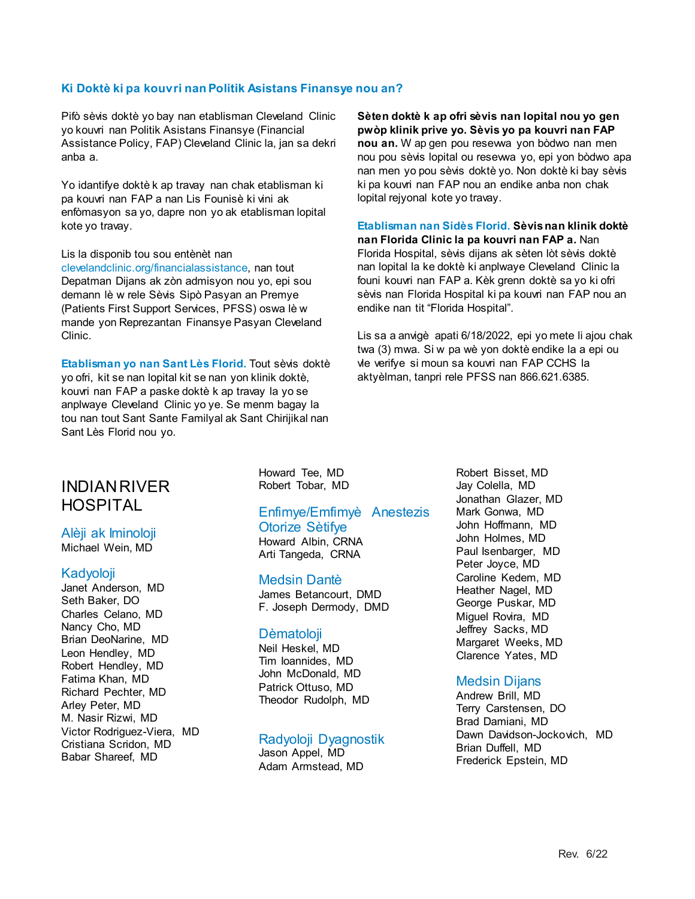#### **Ki Doktè ki pa kouvri nan Politik Asistans Finansye nou an?**

Pifò sèvis doktè yo bay nan etablisman Cleveland Clinic yo kouvri nan Politik Asistans Finansye (Financial Assistance Policy, FAP) Cleveland Clinic la, jan sa dekri anba a.

Yo idantifye doktè k ap travay nan chak etablisman ki pa kouvri nan FAP a nan Lis Founisè ki vini ak enfòmasyon sa yo, dapre non yo ak etablisman lopital kote yo travay.

Lis la disponib tou sou entènèt nan clevelandclinic.org/financialassistance, nan tout Depatman Dijans ak zòn admisyon nou yo, epi sou demann lè w rele Sèvis Sipò Pasyan an Premye (Patients First Support Services, PFSS) oswa lè w mande yon Reprezantan Finansye Pasyan Cleveland Clinic.

**Etablisman yo nan Sant Lès Florid.** Tout sèvis doktè yo ofri, kit se nan lopital kit se nan yon klinik doktè, kouvri nan FAP a paske doktè k ap travay la yo se anplwaye Cleveland Clinic yo ye. Se menm bagay la tou nan tout Sant Sante Familyal ak Sant Chirijikal nan Sant Lès Florid nou yo.

**Sèten doktè k ap ofri sèvis nan lopital nou yo gen pwòp klinik prive yo. Sèvis yo pa kouvri nan FAP nou an.** W ap gen pou resevwa yon bòdwo nan men nou pou sèvis lopital ou resevwa yo, epi yon bòdwo apa nan men yo pou sèvis doktè yo. Non doktè ki bay sèvis ki pa kouvri nan FAP nou an endike anba non chak lopital rejyonal kote yo travay.

### **Etablisman nan Sidès Florid. Sèvis nan klinik doktè**

**nan Florida Clinic la pa kouvri nan FAP a.** Nan Florida Hospital, sèvis dijans ak sèten lòt sèvis doktè nan lopital la ke doktè ki anplwaye Cleveland Clinic la founi kouvri nan FAP a. Kèk grenn doktè sa yo ki ofri sèvis nan Florida Hospital ki pa kouvri nan FAP nou an endike nan tit "Florida Hospital".

Lis sa a anvigè apati 6/18/2022, epi yo mete li ajou chak twa (3) mwa. Si w pa wè yon doktè endike la a epi ou vle verifye si moun sa kouvri nan FAP CCHS la aktyèlman, tanpri rele PFSS nan 866.621.6385.

# INDIAN RIVER HOSPITAL

# Alèji ak Iminoloji

Michael Wein, MD

#### Kadyoloji

Janet Anderson, MD Seth Baker, DO Charles Celano, MD Nancy Cho, MD Brian DeoNarine, MD Leon Hendley, MD Robert Hendley, MD Fatima Khan, MD Richard Pechter, MD Arley Peter, MD M. Nasir Rizwi, MD Victor Rodriguez-Viera, MD Cristiana Scridon, MD Babar Shareef, MD

Howard Tee, MD Robert Tobar, MD

#### Enfimye/Emfimyè Anestezis Otorize Sètifye

Howard Albin, CRNA Arti Tangeda, CRNA

#### Medsin Dantè

James Betancourt, DMD F. Joseph Dermody, DMD

#### **D**èmatoloji

Neil Heskel, MD Tim Ioannides, MD John McDonald, MD Patrick Ottuso, MD Theodor Rudolph, MD

## Radyoloji Dyagnostik

Jason Appel, MD Adam Armstead, MD Robert Bisset, MD Jay Colella, MD Jonathan Glazer, MD Mark Gonwa, MD John Hoffmann, MD John Holmes, MD Paul Isenbarger, MD Peter Joyce, MD Caroline Kedem, MD Heather Nagel, MD George Puskar, MD Miguel Rovira, MD Jeffrey Sacks, MD Margaret Weeks, MD Clarence Yates, MD

## Medsin Dijans

Andrew Brill, MD Terry Carstensen, DO Brad Damiani, MD Dawn Davidson-Jockovich, MD Brian Duffell, MD Frederick Epstein, MD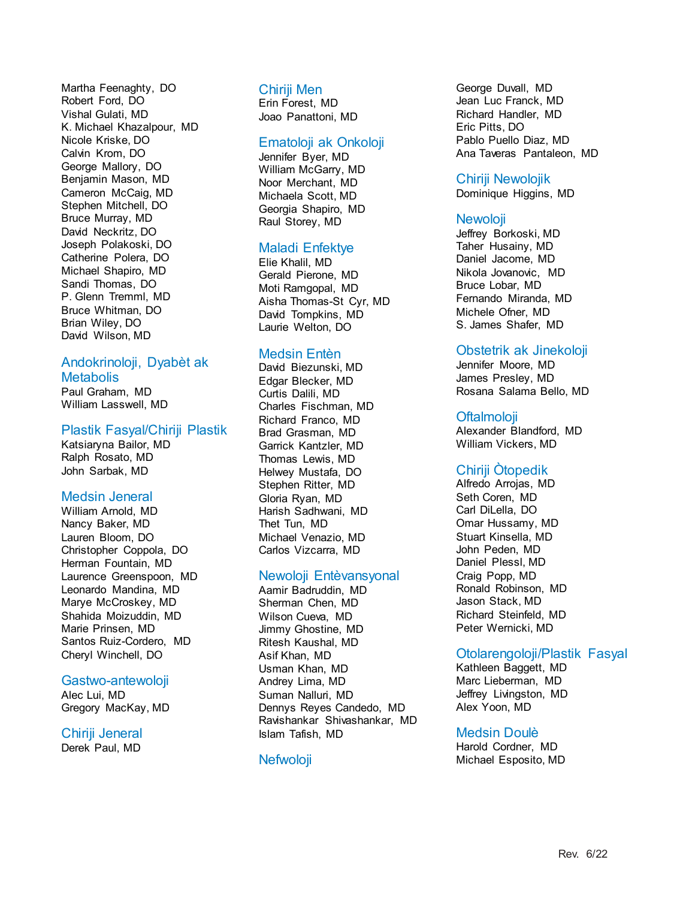Martha Feenaghty, DO Robert Ford, DO Vishal Gulati, MD K. Michael Khazalpour, MD Nicole Kriske, DO Calvin Krom, DO George Mallory, DO Benjamin Mason, MD Cameron McCaig, MD Stephen Mitchell, DO Bruce Murray, MD David Neckritz, DO Joseph Polakoski, DO Catherine Polera, DO Michael Shapiro, MD Sandi Thomas, DO P. Glenn Tremml, MD Bruce Whitman, DO Brian Wiley, DO David Wilson, MD

#### Andokrinoloji, Dyabèt ak **Metabolis**

Paul Graham, MD William Lasswell, MD

#### Plastik Fasyal/Chiriji Plastik

Katsiaryna Bailor, MD Ralph Rosato, MD John Sarbak, MD

#### Medsin Jeneral

William Arnold, MD Nancy Baker, MD Lauren Bloom, DO Christopher Coppola, DO Herman Fountain, MD Laurence Greenspoon, MD Leonardo Mandina, MD Marye McCroskey, MD Shahida Moizuddin, MD Marie Prinsen, MD Santos Ruiz-Cordero, MD Cheryl Winchell, DO

#### Gastwo-antewoloji

Alec Lui, MD Gregory MacKay, MD

# Chiriji Jeneral

Derek Paul, MD

#### Chiriji Men

Erin Forest, MD Joao Panattoni, MD

#### Ematoloji ak Onkoloji

Jennifer Byer, MD William McGarry, MD Noor Merchant, MD Michaela Scott, MD Georgia Shapiro, MD Raul Storey, MD

#### Maladi Enfektye

Elie Khalil, MD Gerald Pierone, MD Moti Ramgopal, MD Aisha Thomas-St Cyr, MD David Tompkins, MD Laurie Welton, DO

#### Medsin Entèn

David Biezunski, MD Edgar Blecker, MD Curtis Dalili, MD Charles Fischman, MD Richard Franco, MD Brad Grasman, MD Garrick Kantzler, MD Thomas Lewis, MD Helwey Mustafa, DO Stephen Ritter, MD Gloria Ryan, MD Harish Sadhwani, MD Thet Tun, MD Michael Venazio, MD Carlos Vizcarra, MD

#### Newoloji Entèvansyonal

Aamir Badruddin, MD Sherman Chen, MD Wilson Cueva, MD Jimmy Ghostine, MD Ritesh Kaushal, MD Asif Khan, MD Usman Khan, MD Andrey Lima, MD Suman Nalluri, MD Dennys Reyes Candedo, MD Ravishankar Shivashankar, MD Islam Tafish, MD

## Nefwoloji

George Duvall, MD Jean Luc Franck, MD Richard Handler, MD Eric Pitts, DO Pablo Puello Diaz, MD Ana Taveras Pantaleon, MD

#### Chiriji Newolojik

Dominique Higgins, MD

#### **Newoloji**

Jeffrey Borkoski, MD Taher Husainy, MD Daniel Jacome, MD Nikola Jovanovic, MD Bruce Lobar, MD Fernando Miranda, MD Michele Ofner, MD S. James Shafer, MD

### Obstetrik ak Jinekoloji

Jennifer Moore, MD James Presley, MD Rosana Salama Bello, MD

### **Oftalmoloji**

Alexander Blandford, MD William Vickers, MD

## Chiriji Òtopedik

Alfredo Arrojas, MD Seth Coren, MD Carl DiLella, DO Omar Hussamy, MD Stuart Kinsella, MD John Peden, MD Daniel Plessl, MD Craig Popp, MD Ronald Robinson, MD Jason Stack, MD Richard Steinfeld, MD Peter Wernicki, MD

## Otolarengoloji/Plastik Fasyal

Kathleen Baggett, MD Marc Lieberman, MD Jeffrey Livingston, MD Alex Yoon, MD

#### Medsin Doulè

Harold Cordner, MD Michael Esposito, MD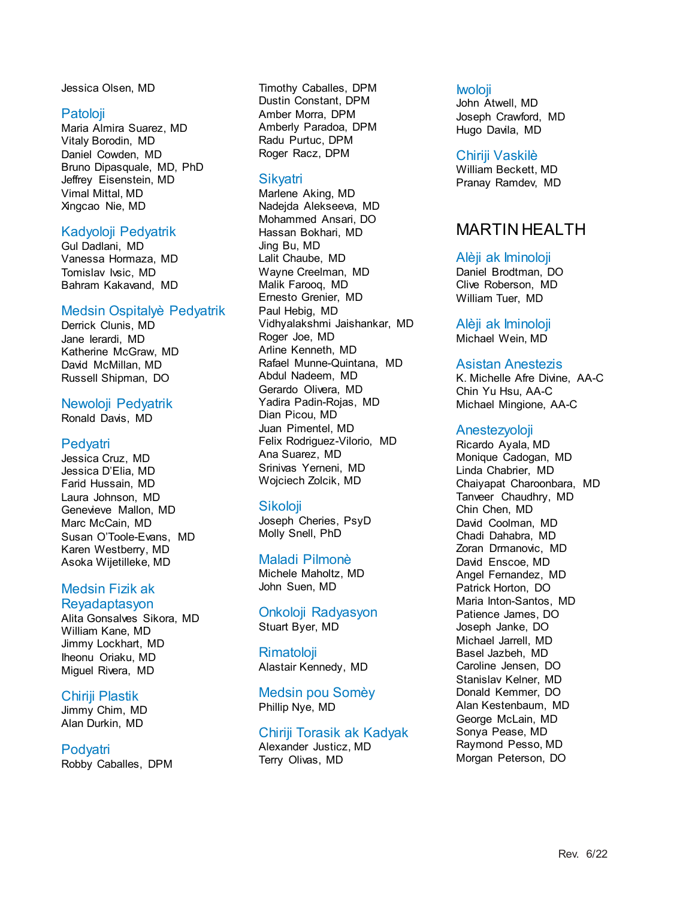Jessica Olsen, MD

#### Patoloji

Maria Almira Suarez, MD Vitaly Borodin, MD Daniel Cowden, MD Bruno Dipasquale, MD, PhD Jeffrey Eisenstein, MD Vimal Mittal, MD Xingcao Nie, MD

#### Kadyoloji Pedyatrik

Gul Dadlani, MD Vanessa Hormaza, MD Tomislav Ivsic, MD Bahram Kakavand, MD

#### Medsin Ospitalyè Pedyatrik

Derrick Clunis, MD Jane Ierardi, MD Katherine McGraw, MD David McMillan, MD Russell Shipman, DO

#### Newoloji Pedyatrik

Ronald Davis, MD

### **Pedyatri**

Jessica Cruz, MD Jessica D'Elia, MD Farid Hussain, MD Laura Johnson, MD Genevieve Mallon, MD Marc McCain, MD Susan O'Toole-Evans, MD Karen Westberry, MD Asoka Wijetilleke, MD

### Medsin Fizik ak Reyadaptasyon

Alita Gonsalves Sikora, MD William Kane, MD Jimmy Lockhart, MD Iheonu Oriaku, MD Miguel Rivera, MD

#### Chiriji Plastik

Jimmy Chim, MD Alan Durkin, MD

#### Podyatri Robby Caballes, DPM

Timothy Caballes, DPM Dustin Constant, DPM Amber Morra, DPM Amberly Paradoa, DPM Radu Purtuc, DPM Roger Racz, DPM

## Sikyatri

Marlene Aking, MD Nadejda Alekseeva, MD Mohammed Ansari, DO Hassan Bokhari, MD Jing Bu, MD Lalit Chaube, MD Wayne Creelman, MD Malik Farooq, MD Ernesto Grenier, MD Paul Hebig, MD Vidhyalakshmi Jaishankar, MD Roger Joe, MD Arline Kenneth, MD Rafael Munne-Quintana, MD Abdul Nadeem, MD Gerardo Olivera, MD Yadira Padin-Rojas, MD Dian Picou, MD Juan Pimentel, MD Felix Rodriguez-Vilorio, MD Ana Suarez, MD Srinivas Yerneni, MD Wojciech Zolcik, MD

## Sikoloji

Joseph Cheries, PsyD Molly Snell, PhD

#### Maladi Pilmonè

Michele Maholtz, MD John Suen, MD

Onkoloji Radyasyon Stuart Byer, MD

Rimatoloji Alastair Kennedy, MD

Medsin pou Somèy Phillip Nye, MD

#### Chiriji Torasik ak Kadyak Alexander Justicz, MD Terry Olivas, MD

#### **Iwoloji**

John Atwell, MD Joseph Crawford, MD Hugo Davila, MD

#### Chiriji Vaskilè

William Beckett, MD Pranay Ramdev, MD

## MARTIN HEALTH

#### Alèji ak Iminoloji

Daniel Brodtman, DO Clive Roberson, MD William Tuer, MD

Alèji ak Iminoloji Michael Wein, MD

#### Asistan Anestezis

K. Michelle Afre Divine, AA-C Chin Yu Hsu, AA-C Michael Mingione, AA-C

#### Anestezyoloji

Ricardo Ayala, MD Monique Cadogan, MD Linda Chabrier, MD Chaiyapat Charoonbara, MD Tanveer Chaudhry, MD Chin Chen, MD David Coolman, MD Chadi Dahabra, MD Zoran Drmanovic, MD David Enscoe, MD Angel Fernandez, MD Patrick Horton, DO Maria Inton-Santos, MD Patience James, DO Joseph Janke, DO Michael Jarrell, MD Basel Jazbeh, MD Caroline Jensen, DO Stanislav Kelner, MD Donald Kemmer, DO Alan Kestenbaum, MD George McLain, MD Sonya Pease, MD Raymond Pesso, MD Morgan Peterson, DO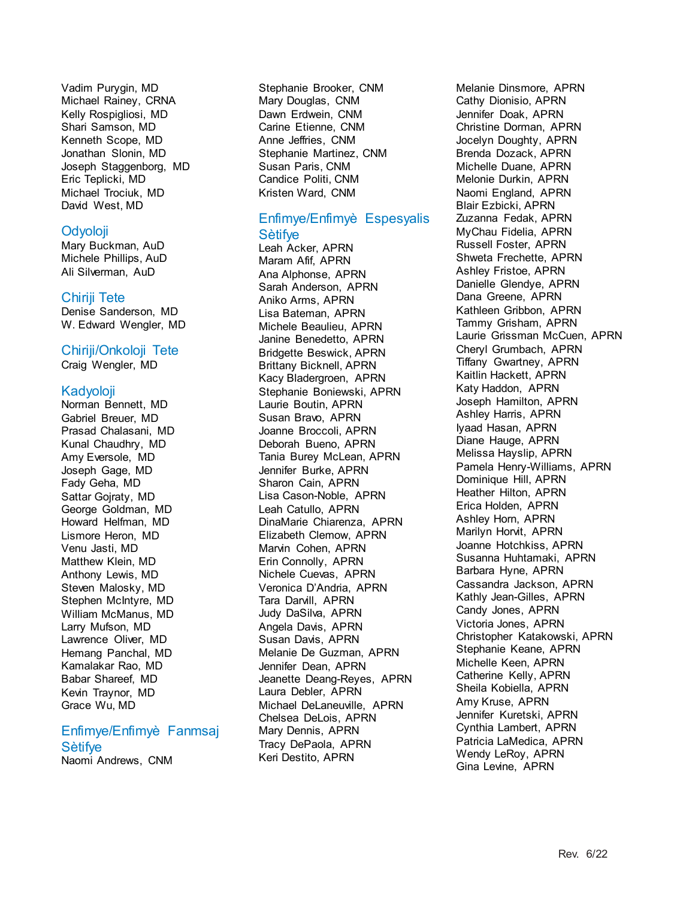Vadim Purygin, MD Michael Rainey, CRNA Kelly Rospigliosi, MD Shari Samson, MD Kenneth Scope, MD Jonathan Slonin, MD Joseph Staggenborg, MD Eric Teplicki, MD Michael Trociuk, MD David West, MD

#### Odyoloji

Mary Buckman, AuD Michele Phillips, AuD Ali Silverman, AuD

#### Chiriji Tete

Denise Sanderson, MD W. Edward Wengler, MD

#### Chiriji/Onkoloji Tete

Craig Wengler, MD

#### Kadyoloji

Norman Bennett, MD Gabriel Breuer, MD Prasad Chalasani, MD Kunal Chaudhry, MD Amy Eversole, MD Joseph Gage, MD Fady Geha, MD Sattar Gojraty, MD George Goldman, MD Howard Helfman, MD Lismore Heron, MD Venu Jasti, MD Matthew Klein, MD Anthony Lewis, MD Steven Malosky, MD Stephen McIntyre, MD William McManus, MD Larry Mufson, MD Lawrence Oliver, MD Hemang Panchal, MD Kamalakar Rao, MD Babar Shareef, MD Kevin Traynor, MD Grace Wu, MD

#### Enfimye/Enfimyè Fanmsaj Sètifye

Naomi Andrews, CNM

Stephanie Brooker, CNM Mary Douglas, CNM Dawn Erdwein, CNM Carine Etienne, CNM Anne Jeffries, CNM Stephanie Martinez, CNM Susan Paris, CNM Candice Politi, CNM Kristen Ward, CNM

## Enfimye/Enfimyè Espesyalis

#### **Sètifve**

Leah Acker, APRN Maram Afif, APRN Ana Alphonse, APRN Sarah Anderson, APRN Aniko Arms, APRN Lisa Bateman, APRN Michele Beaulieu, APRN Janine Benedetto, APRN Bridgette Beswick, APRN Brittany Bicknell, APRN Kacy Bladergroen, APRN Stephanie Boniewski, APRN Laurie Boutin, APRN Susan Bravo, APRN Joanne Broccoli, APRN Deborah Bueno, APRN Tania Burey McLean, APRN Jennifer Burke, APRN Sharon Cain, APRN Lisa Cason-Noble, APRN Leah Catullo, APRN DinaMarie Chiarenza, APRN Elizabeth Clemow, APRN Marvin Cohen, APRN Erin Connolly, APRN Nichele Cuevas, APRN Veronica D'Andria, APRN Tara Darvill, APRN Judy DaSilva, APRN Angela Davis, APRN Susan Davis, APRN Melanie De Guzman, APRN Jennifer Dean, APRN Jeanette Deang-Reyes, APRN Laura Debler, APRN Michael DeLaneuville, APRN Chelsea DeLois, APRN Mary Dennis, APRN Tracy DePaola, APRN Keri Destito, APRN

Melanie Dinsmore, APRN Cathy Dionisio, APRN Jennifer Doak, APRN Christine Dorman, APRN Jocelyn Doughty, APRN Brenda Dozack, APRN Michelle Duane, APRN Melonie Durkin, APRN Naomi England, APRN Blair Ezbicki, APRN Zuzanna Fedak, APRN MyChau Fidelia, APRN Russell Foster, APRN Shweta Frechette, APRN Ashley Fristoe, APRN Danielle Glendye, APRN Dana Greene, APRN Kathleen Gribbon, APRN Tammy Grisham, APRN Laurie Grissman McCuen, APRN Cheryl Grumbach, APRN Tiffany Gwartney, APRN Kaitlin Hackett, APRN Katy Haddon, APRN Joseph Hamilton, APRN Ashley Harris, APRN Iyaad Hasan, APRN Diane Hauge, APRN Melissa Hayslip, APRN Pamela Henry-Williams, APRN Dominique Hill, APRN Heather Hilton, APRN Erica Holden, APRN Ashley Horn, APRN Marilyn Horvit, APRN Joanne Hotchkiss, APRN Susanna Huhtamaki, APRN Barbara Hyne, APRN Cassandra Jackson, APRN Kathly Jean-Gilles, APRN Candy Jones, APRN Victoria Jones, APRN Christopher Katakowski, APRN Stephanie Keane, APRN Michelle Keen, APRN Catherine Kelly, APRN Sheila Kobiella, APRN Amy Kruse, APRN Jennifer Kuretski, APRN Cynthia Lambert, APRN Patricia LaMedica, APRN Wendy LeRoy, APRN Gina Levine, APRN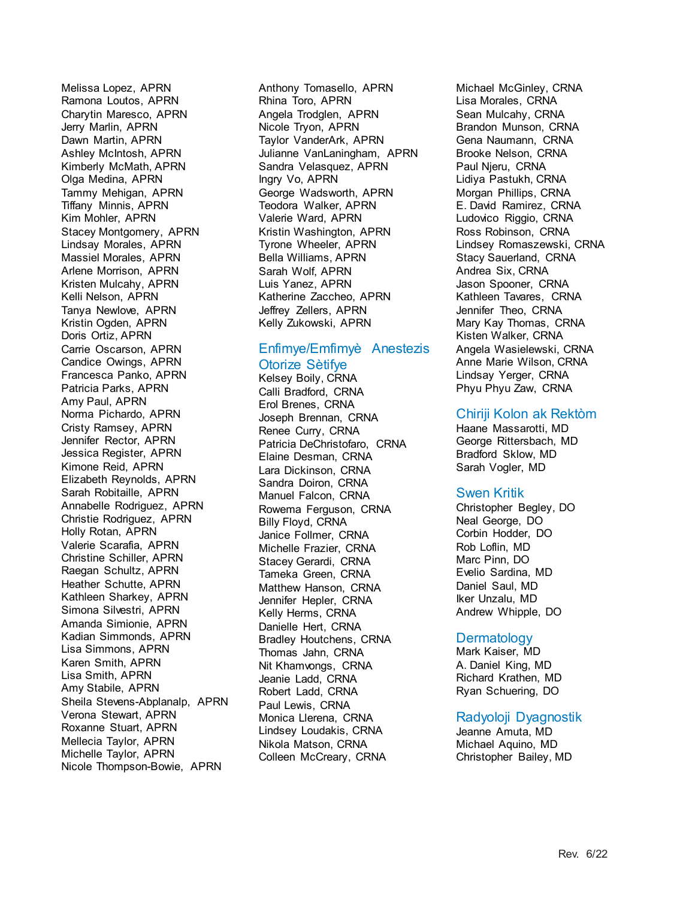Melissa Lopez, APRN Ramona Loutos, APRN Charytin Maresco, APRN Jerry Marlin, APRN Dawn Martin, APRN Ashley McIntosh, APRN Kimberly McMath, APRN Olga Medina, APRN Tammy Mehigan, APRN Tiffany Minnis, APRN Kim Mohler, APRN Stacey Montgomery, APRN Lindsay Morales, APRN Massiel Morales, APRN Arlene Morrison, APRN Kristen Mulcahy, APRN Kelli Nelson, APRN Tanya Newlove, APRN Kristin Ogden, APRN Doris Ortiz, APRN Carrie Oscarson, APRN Candice Owings, APRN Francesca Panko, APRN Patricia Parks, APRN Amy Paul, APRN Norma Pichardo, APRN Cristy Ramsey, APRN Jennifer Rector, APRN Jessica Register, APRN Kimone Reid, APRN Elizabeth Reynolds, APRN Sarah Robitaille, APRN Annabelle Rodriguez, APRN Christie Rodriguez, APRN Holly Rotan, APRN Valerie Scarafia, APRN Christine Schiller, APRN Raegan Schultz, APRN Heather Schutte, APRN Kathleen Sharkey, APRN Simona Silvestri, APRN Amanda Simionie, APRN Kadian Simmonds, APRN Lisa Simmons, APRN Karen Smith, APRN Lisa Smith, APRN Amy Stabile, APRN Sheila Stevens-Abplanalp, APRN Verona Stewart, APRN Roxanne Stuart, APRN Mellecia Taylor, APRN Michelle Taylor, APRN Nicole Thompson-Bowie, APRN

Anthony Tomasello, APRN Rhina Toro, APRN Angela Trodglen, APRN Nicole Tryon, APRN Taylor VanderArk, APRN Julianne VanLaningham, APRN Sandra Velasquez, APRN Ingry Vo, APRN George Wadsworth, APRN Teodora Walker, APRN Valerie Ward, APRN Kristin Washington, APRN Tyrone Wheeler, APRN Bella Williams, APRN Sarah Wolf, APRN Luis Yanez, APRN Katherine Zaccheo, APRN Jeffrey Zellers, APRN Kelly Zukowski, APRN

## Enfimye/Emfimyè Anestezis

#### Otorize Sètifye

Kelsey Boily, CRNA Calli Bradford, CRNA Erol Brenes, CRNA Joseph Brennan, CRNA Renee Curry, CRNA Patricia DeChristofaro, CRNA Elaine Desman, CRNA Lara Dickinson, CRNA Sandra Doiron, CRNA Manuel Falcon, CRNA Rowema Ferguson, CRNA Billy Floyd, CRNA Janice Follmer, CRNA Michelle Frazier, CRNA Stacey Gerardi, CRNA Tameka Green, CRNA Matthew Hanson, CRNA Jennifer Hepler, CRNA Kelly Herms, CRNA Danielle Hert, CRNA Bradley Houtchens, CRNA Thomas Jahn, CRNA Nit Khamvongs, CRNA Jeanie Ladd, CRNA Robert Ladd, CRNA Paul Lewis, CRNA Monica Llerena, CRNA Lindsey Loudakis, CRNA Nikola Matson, CRNA Colleen McCreary, CRNA

Michael McGinley, CRNA Lisa Morales, CRNA Sean Mulcahy, CRNA Brandon Munson, CRNA Gena Naumann, CRNA Brooke Nelson, CRNA Paul Njeru, CRNA Lidiya Pastukh, CRNA Morgan Phillips, CRNA E. David Ramirez, CRNA Ludovico Riggio, CRNA Ross Robinson, CRNA Lindsey Romaszewski, CRNA Stacy Sauerland, CRNA Andrea Six, CRNA Jason Spooner, CRNA Kathleen Tavares, CRNA Jennifer Theo, CRNA Mary Kay Thomas, CRNA Kisten Walker, CRNA Angela Wasielewski, CRNA Anne Marie Wilson, CRNA Lindsay Yerger, CRNA Phyu Phyu Zaw, CRNA

## Chiriji Kolon ak Rektòm

Haane Massarotti, MD George Rittersbach, MD Bradford Sklow, MD Sarah Vogler, MD

## Swen Kritik

Christopher Begley, DO Neal George, DO Corbin Hodder, DO Rob Loflin, MD Marc Pinn, DO Evelio Sardina, MD Daniel Saul, MD Iker Unzalu, MD Andrew Whipple, DO

## **Dermatology**

Mark Kaiser, MD A. Daniel King, MD Richard Krathen, MD Ryan Schuering, DO

## Radyoloji Dyagnostik

Jeanne Amuta, MD Michael Aquino, MD Christopher Bailey, MD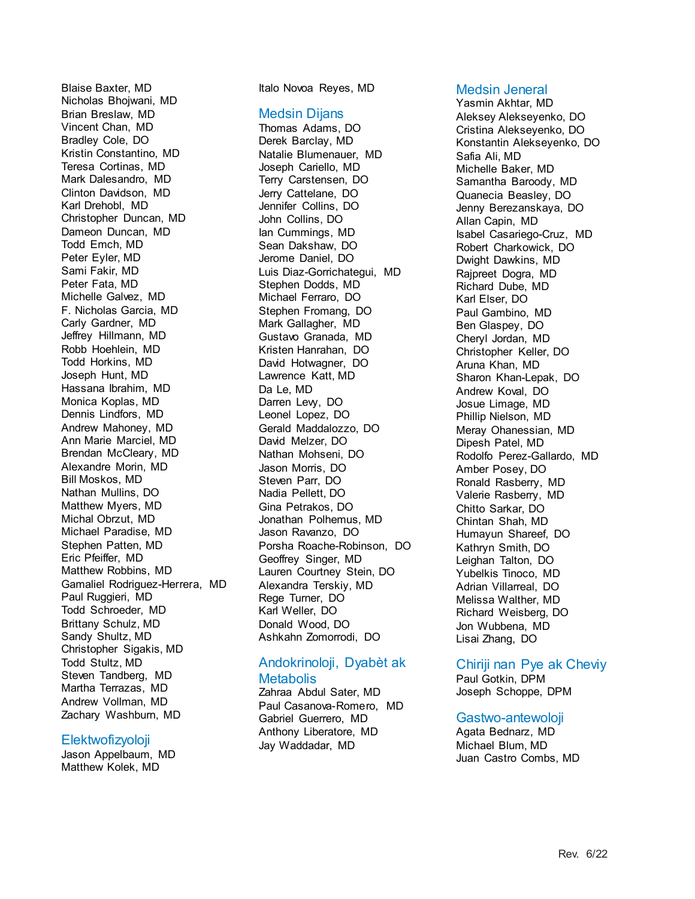Blaise Baxter, MD Nicholas Bhojwani, MD Brian Breslaw, MD Vincent Chan, MD Bradley Cole, DO Kristin Constantino, MD Teresa Cortinas, MD Mark Dalesandro, MD Clinton Davidson, MD Karl Drehobl, MD Christopher Duncan, MD Dameon Duncan, MD Todd Emch, MD Peter Eyler, MD Sami Fakir, MD Peter Fata, MD Michelle Galvez, MD F. Nicholas Garcia, MD Carly Gardner, MD Jeffrey Hillmann, MD Robb Hoehlein, MD Todd Horkins, MD Joseph Hunt, MD Hassana Ibrahim, MD Monica Koplas, MD Dennis Lindfors, MD Andrew Mahoney, MD Ann Marie Marciel, MD Brendan McCleary, MD Alexandre Morin, MD Bill Moskos, MD Nathan Mullins, DO Matthew Myers, MD Michal Obrzut, MD Michael Paradise, MD Stephen Patten, MD Eric Pfeiffer, MD Matthew Robbins, MD Gamaliel Rodriguez-Herrera, MD Paul Ruggieri, MD Todd Schroeder, MD Brittany Schulz, MD Sandy Shultz, MD Christopher Sigakis, MD Todd Stultz, MD Steven Tandberg, MD Martha Terrazas, MD Andrew Vollman, MD Zachary Washburn, MD

#### Elektwofizyoloji

Jason Appelbaum, MD Matthew Kolek, MD

Italo Novoa Reyes, MD

#### Medsin Dijans

Thomas Adams, DO Derek Barclay, MD Natalie Blumenauer, MD Joseph Cariello, MD Terry Carstensen, DO Jerry Cattelane, DO Jennifer Collins, DO John Collins, DO Ian Cummings, MD Sean Dakshaw, DO Jerome Daniel, DO Luis Diaz-Gorrichategui, MD Stephen Dodds, MD Michael Ferraro, DO Stephen Fromang, DO Mark Gallagher, MD Gustavo Granada, MD Kristen Hanrahan, DO David Hotwagner, DO Lawrence Katt, MD Da Le, MD Darren Lew, DO Leonel Lopez, DO Gerald Maddalozzo, DO David Melzer, DO Nathan Mohseni, DO Jason Morris, DO Steven Parr, DO Nadia Pellett, DO Gina Petrakos, DO Jonathan Polhemus, MD Jason Ravanzo, DO Porsha Roache-Robinson, DO Geoffrey Singer, MD Lauren Courtney Stein, DO Alexandra Terskiy, MD Rege Turner, DO Karl Weller, DO Donald Wood, DO Ashkahn Zomorrodi, DO

# Andokrinoloji, Dyabèt ak

### **Metabolis**

Zahraa Abdul Sater, MD Paul Casanova-Romero, MD Gabriel Guerrero, MD Anthony Liberatore, MD Jay Waddadar, MD

#### Medsin Jeneral

Yasmin Akhtar, MD Aleksey Alekseyenko, DO Cristina Alekseyenko, DO Konstantin Alekseyenko, DO Safia Ali, MD Michelle Baker, MD Samantha Baroody, MD Quanecia Beasley, DO Jenny Berezanskaya, DO Allan Capin, MD Isabel Casariego-Cruz, MD Robert Charkowick, DO Dwight Dawkins, MD Rajpreet Dogra, MD Richard Dube, MD Karl Elser, DO Paul Gambino, MD Ben Glaspey, DO Cheryl Jordan, MD Christopher Keller, DO Aruna Khan, MD Sharon Khan-Lepak, DO Andrew Koval, DO Josue Limage, MD Phillip Nielson, MD Meray Ohanessian, MD Dipesh Patel, MD Rodolfo Perez-Gallardo, MD Amber Posey, DO Ronald Rasberry, MD Valerie Rasberry, MD Chitto Sarkar, DO Chintan Shah, MD Humayun Shareef, DO Kathryn Smith, DO Leighan Talton, DO Yubelkis Tinoco, MD Adrian Villarreal, DO Melissa Walther, MD Richard Weisberg, DO Jon Wubbena, MD Lisai Zhang, DO

#### Chiriji nan Pye ak Cheviy

Paul Gotkin, DPM Joseph Schoppe, DPM

#### Gastwo-antewoloji

Agata Bednarz, MD Michael Blum, MD Juan Castro Combs, MD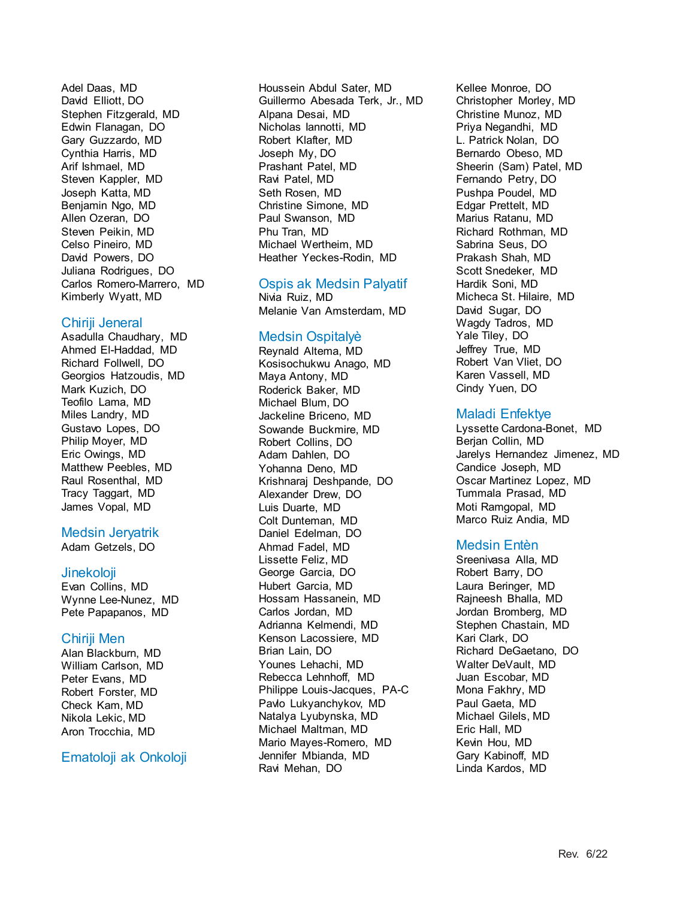Adel Daas, MD David Elliott, DO Stephen Fitzgerald, MD Edwin Flanagan, DO Gary Guzzardo, MD Cynthia Harris, MD Arif Ishmael, MD Steven Kappler, MD Joseph Katta, MD Benjamin Ngo, MD Allen Ozeran, DO Steven Peikin, MD Celso Pineiro, MD David Powers, DO Juliana Rodrigues, DO Carlos Romero-Marrero, MD Kimberly Wyatt, MD

## Chiriji Jeneral

Asadulla Chaudhary, MD Ahmed El-Haddad, MD Richard Follwell, DO Georgios Hatzoudis, MD Mark Kuzich, DO Teofilo Lama, MD Miles Landry, MD Gustavo Lopes, DO Philip Moyer, MD Eric Owings, MD Matthew Peebles, MD Raul Rosenthal, MD Tracy Taggart, MD James Vopal, MD

#### Medsin Jeryatrik

Adam Getzels, DO

#### **Jinekoloji**

Evan Collins, MD Wynne Lee-Nunez, MD Pete Papapanos, MD

#### Chiriji Men

Alan Blackburn, MD William Carlson, MD Peter Evans, MD Robert Forster, MD Check Kam, MD Nikola Lekic, MD Aron Trocchia, MD

## Ematoloji ak Onkoloji

Houssein Abdul Sater, MD Guillermo Abesada Terk, Jr., MD Alpana Desai, MD Nicholas Iannotti, MD Robert Klafter, MD Joseph My, DO Prashant Patel, MD Ravi Patel, MD Seth Rosen, MD Christine Simone, MD Paul Swanson, MD Phu Tran, MD Michael Wertheim, MD Heather Yeckes-Rodin, MD

### Ospis ak Medsin Palyatif

Nivia Ruiz, MD Melanie Van Amsterdam, MD

### Medsin Ospitalyè

Reynald Altema, MD Kosisochukwu Anago, MD Maya Antony, MD Roderick Baker, MD Michael Blum, DO Jackeline Briceno, MD Sowande Buckmire, MD Robert Collins, DO Adam Dahlen, DO Yohanna Deno, MD Krishnaraj Deshpande, DO Alexander Drew, DO Luis Duarte, MD Colt Dunteman, MD Daniel Edelman, DO Ahmad Fadel, MD Lissette Feliz, MD George Garcia, DO Hubert Garcia, MD Hossam Hassanein, MD Carlos Jordan, MD Adrianna Kelmendi, MD Kenson Lacossiere, MD Brian Lain, DO Younes Lehachi, MD Rebecca Lehnhoff, MD Philippe Louis-Jacques, PA-C Pavlo Lukyanchykov, MD Natalya Lyubynska, MD Michael Maltman, MD Mario Mayes-Romero, MD Jennifer Mbianda, MD Ravi Mehan, DO

Kellee Monroe, DO Christopher Morley, MD Christine Munoz, MD Priya Negandhi, MD L. Patrick Nolan, DO Bernardo Obeso, MD Sheerin (Sam) Patel, MD Fernando Petry, DO Pushpa Poudel, MD Edgar Prettelt, MD Marius Ratanu, MD Richard Rothman, MD Sabrina Seus, DO Prakash Shah, MD Scott Snedeker, MD Hardik Soni, MD Micheca St. Hilaire, MD David Sugar, DO Wagdy Tadros, MD Yale Tiley, DO Jeffrey True, MD Robert Van Vliet, DO Karen Vassell, MD Cindy Yuen, DO

### Maladi Enfektye

Lyssette Cardona-Bonet, MD Berjan Collin, MD Jarelys Hernandez Jimenez, MD Candice Joseph, MD Oscar Martinez Lopez, MD Tummala Prasad, MD Moti Ramgopal, MD Marco Ruiz Andia, MD

## Medsin Entèn

Sreenivasa Alla, MD Robert Barry, DO Laura Beringer, MD Rajneesh Bhalla, MD Jordan Bromberg, MD Stephen Chastain, MD Kari Clark, DO Richard DeGaetano, DO Walter DeVault, MD Juan Escobar, MD Mona Fakhry, MD Paul Gaeta, MD Michael Gilels, MD Eric Hall, MD Kevin Hou, MD Gary Kabinoff, MD Linda Kardos, MD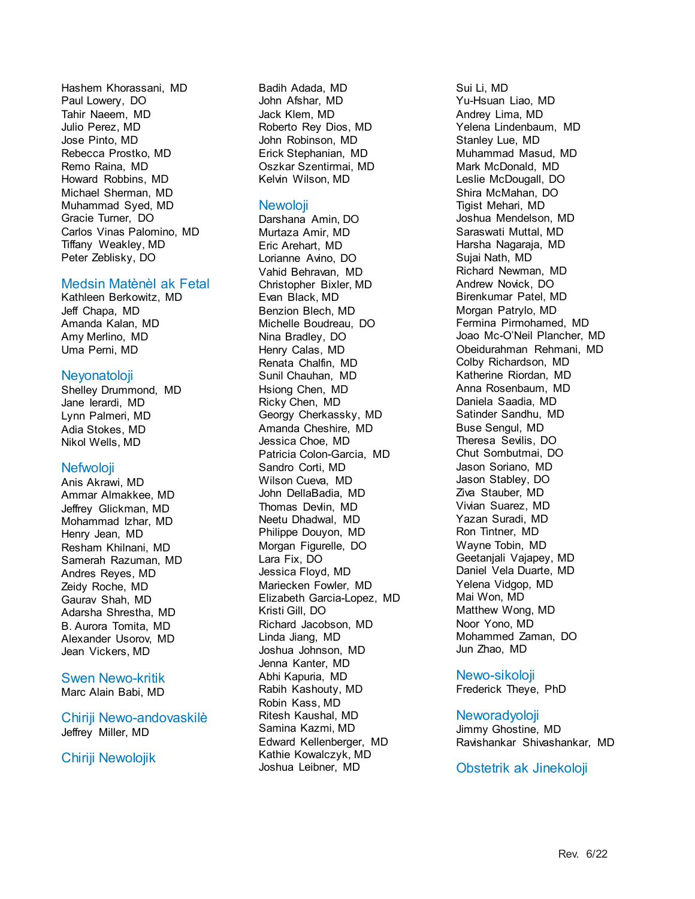Hashem Khorassani, MD Paul Lowery, DO Tahir Naeem, MD Julio Perez, MD Jose Pinto, MD Rebecca Prostko, MD Remo Raina, MD Howard Robbins, MD Michael Sherman, MD Muhammad Syed, MD Gracie Turner, DO Carlos Vinas Palomino, MD Tiffany Weakley, MD Peter Zeblisky, DO

#### Medsin Matènèl ak Fetal

Kathleen Berkowitz, MD Jeff Chapa, MD Amanda Kalan, MD Amy Merlino, MD Uma Perni, MD

#### **Nevonatoloji**

Shelley Drummond, MD Jane Ierardi, MD Lynn Palmeri, MD Adia Stokes, MD Nikol Wells, MD

#### Nefwoloji

Anis Akrawi, MD Ammar Almakkee, MD Jeffrey Glickman, MD Mohammad Izhar, MD Henry Jean, MD Resham Khilnani, MD Samerah Razuman, MD Andres Reyes, MD Zeidy Roche, MD Gaurav Shah, MD Adarsha Shrestha, MD B. Aurora Tomita, MD Alexander Usorov, MD Jean Vickers, MD

#### Swen Newo-kritik

Marc Alain Babi, MD

### Chiriji Newo-andovaskilè Jeffrey Miller, MD

## Chiriji Newolojik

Badih Adada, MD John Afshar, MD Jack Klem, MD Roberto Rey Dios, MD John Robinson, MD Erick Stephanian, MD Oszkar Szentirmai, MD Kelvin Wilson, MD

## **Newoloji**

Darshana Amin, DO Murtaza Amir, MD Eric Arehart, MD Lorianne Avino, DO Vahid Behravan, MD Christopher Bixler, MD Evan Black, MD Benzion Blech, MD Michelle Boudreau, DO Nina Bradley, DO Henry Calas, MD Renata Chalfin, MD Sunil Chauhan, MD Hsiong Chen, MD Ricky Chen, MD Georgy Cherkassky, MD Amanda Cheshire, MD Jessica Choe, MD Patricia Colon-Garcia, MD Sandro Corti, MD Wilson Cueva, MD John DellaBadia, MD Thomas Devlin, MD Neetu Dhadwal, MD Philippe Douyon, MD Morgan Figurelle, DO Lara Fix, DO Jessica Floyd, MD Mariecken Fowler, MD Elizabeth Garcia-Lopez, MD Kristi Gill, DO Richard Jacobson, MD Linda Jiang, MD Joshua Johnson, MD Jenna Kanter, MD Abhi Kapuria, MD Rabih Kashouty, MD Robin Kass, MD Ritesh Kaushal, MD Samina Kazmi, MD Edward Kellenberger, MD Kathie Kowalczyk, MD Joshua Leibner, MD

Sui Li, MD Yu-Hsuan Liao, MD Andrey Lima, MD Yelena Lindenbaum, MD Stanley Lue, MD Muhammad Masud, MD Mark McDonald, MD Leslie McDougall, DO Shira McMahan, DO Tigist Mehari, MD Joshua Mendelson, MD Saraswati Muttal, MD Harsha Nagaraja, MD Sujai Nath, MD Richard Newman, MD Andrew Novick, DO Birenkumar Patel, MD Morgan Patrylo, MD Fermina Pirmohamed, MD Joao Mc-O'Neil Plancher, MD Obeidurahman Rehmani, MD Colby Richardson, MD Katherine Riordan, MD Anna Rosenbaum, MD Daniela Saadia, MD Satinder Sandhu, MD Buse Sengul, MD Theresa Sevilis, DO Chut Sombutmai, DO Jason Soriano, MD Jason Stabley, DO Ziva Stauber, MD Vivian Suarez, MD Yazan Suradi, MD Ron Tintner, MD Wayne Tobin, MD Geetanjali Vajapey, MD Daniel Vela Duarte, MD Yelena Vidgop, MD Mai Won, MD Matthew Wong, MD Noor Yono, MD Mohammed Zaman, DO Jun Zhao, MD

## Newo-sikoloji

Frederick Theye, PhD

## Neworadyoloji

Jimmy Ghostine, MD Ravishankar Shivashankar, MD

#### Obstetrik ak Jinekoloji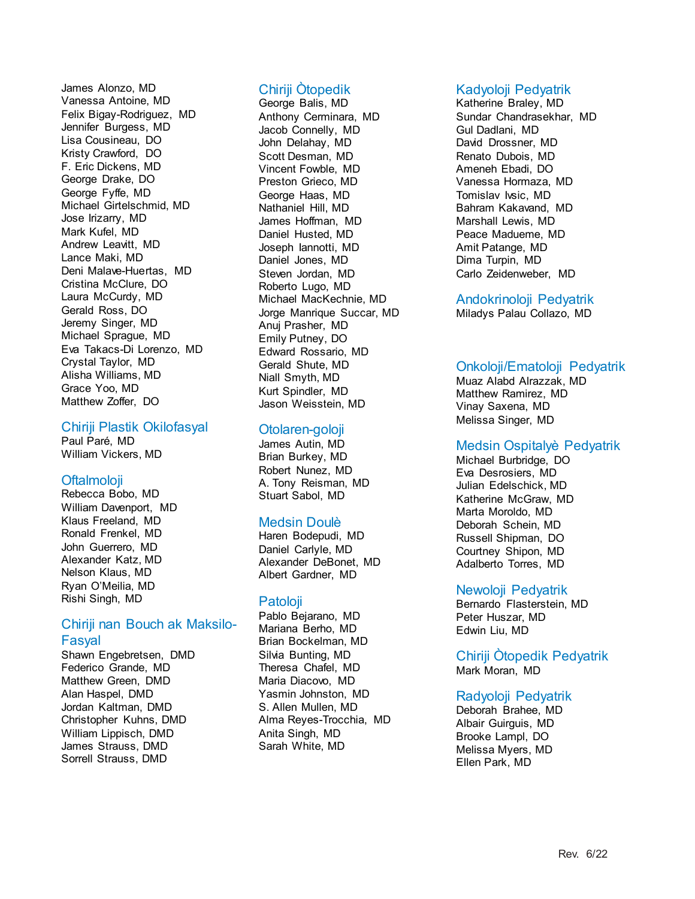James Alonzo, MD Vanessa Antoine, MD Felix Bigay-Rodriguez, MD Jennifer Burgess, MD Lisa Cousineau, DO Kristy Crawford, DO F. Eric Dickens, MD George Drake, DO George Fyffe, MD Michael Girtelschmid, MD Jose Irizarry, MD Mark Kufel, MD Andrew Leavitt, MD Lance Maki, MD Deni Malave-Huertas, MD Cristina McClure, DO Laura McCurdy, MD Gerald Ross, DO Jeremy Singer, MD Michael Sprague, MD Eva Takacs-Di Lorenzo, MD Crystal Taylor, MD Alisha Williams, MD Grace Yoo, MD Matthew Zoffer, DO

#### Chiriji Plastik Okilofasyal

Paul Paré, MD William Vickers, MD

## Oftalmoloji

Rebecca Bobo, MD William Davenport, MD Klaus Freeland, MD Ronald Frenkel, MD John Guerrero, MD Alexander Katz, MD Nelson Klaus, MD Ryan O'Meilia, MD Rishi Singh, MD

## Chiriji nan Bouch ak Maksilo-Fasyal

Shawn Engebretsen, DMD Federico Grande, MD Matthew Green, DMD Alan Haspel, DMD Jordan Kaltman, DMD Christopher Kuhns, DMD William Lippisch, DMD James Strauss, DMD Sorrell Strauss, DMD

## Chiriji Òtopedik

George Balis, MD Anthony Cerminara, MD Jacob Connelly, MD John Delahay, MD Scott Desman, MD Vincent Fowble, MD Preston Grieco, MD George Haas, MD Nathaniel Hill, MD James Hoffman, MD Daniel Husted, MD Joseph Iannotti, MD Daniel Jones, MD Steven Jordan, MD Roberto Lugo, MD Michael MacKechnie, MD Jorge Manrique Succar, MD Anuj Prasher, MD Emily Putney, DO Edward Rossario, MD Gerald Shute, MD Niall Smyth, MD Kurt Spindler, MD Jason Weisstein, MD

## Otolaren-goloji

James Autin, MD Brian Burkey, MD Robert Nunez, MD A. Tony Reisman, MD Stuart Sabol, MD

## Medsin Doulè

Haren Bodepudi, MD Daniel Carlyle, MD Alexander DeBonet, MD Albert Gardner, MD

## Patoloji

Pablo Bejarano, MD Mariana Berho, MD Brian Bockelman, MD Silvia Bunting, MD Theresa Chafel, MD Maria Diacovo, MD Yasmin Johnston, MD S. Allen Mullen, MD Alma Reyes-Trocchia, MD Anita Singh, MD Sarah White, MD

## Kadyoloji Pedyatrik

Katherine Braley, MD Sundar Chandrasekhar, MD Gul Dadlani, MD David Drossner, MD Renato Dubois, MD Ameneh Ebadi, DO Vanessa Hormaza, MD Tomislav Ivsic, MD Bahram Kakavand, MD Marshall Lewis, MD Peace Madueme, MD Amit Patange, MD Dima Turpin, MD Carlo Zeidenweber, MD

## Andokrinoloji Pedyatrik

Miladys Palau Collazo, MD

## Onkoloji/Ematoloji Pedyatrik

Muaz Alabd Alrazzak, MD Matthew Ramirez, MD Vinay Saxena, MD Melissa Singer, MD

## Medsin Ospitalyè Pedyatrik

Michael Burbridge, DO Eva Desrosiers, MD Julian Edelschick, MD Katherine McGraw, MD Marta Moroldo, MD Deborah Schein, MD Russell Shipman, DO Courtney Shipon, MD Adalberto Torres, MD

## Newoloji Pedyatrik

Bernardo Flasterstein, MD Peter Huszar, MD Edwin Liu, MD

Chiriji Òtopedik Pedyatrik Mark Moran, MD

## Radyoloji Pedyatrik

Deborah Brahee, MD Albair Guirguis, MD Brooke Lampl, DO Melissa Myers, MD Ellen Park, MD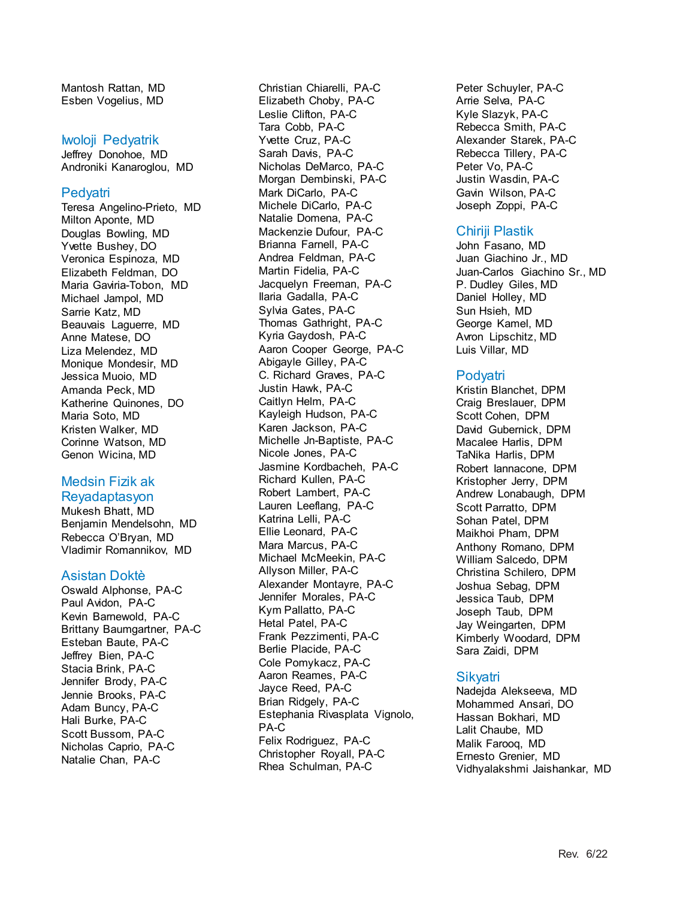Mantosh Rattan, MD Esben Vogelius, MD

#### Iwoloji Pedyatrik

Jeffrey Donohoe, MD Androniki Kanaroglou, MD

#### **Pedyatri**

Teresa Angelino-Prieto, MD Milton Aponte, MD Douglas Bowling, MD Yvette Bushey, DO Veronica Espinoza, MD Elizabeth Feldman, DO Maria Gaviria-Tobon, MD Michael Jampol, MD Sarrie Katz, MD Beauvais Laguerre, MD Anne Matese, DO Liza Melendez, MD Monique Mondesir, MD Jessica Muoio, MD Amanda Peck, MD Katherine Quinones, DO Maria Soto, MD Kristen Walker, MD Corinne Watson, MD Genon Wicina, MD

#### Medsin Fizik ak Reyadaptasyon

Mukesh Bhatt, MD Benjamin Mendelsohn, MD Rebecca O'Bryan, MD Vladimir Romannikov, MD

#### Asistan Doktè

Oswald Alphonse, PA-C Paul Avidon, PA-C Kevin Barnewold, PA-C Brittany Baumgartner, PA-C Esteban Baute, PA-C Jeffrey Bien, PA-C Stacia Brink, PA-C Jennifer Brody, PA-C Jennie Brooks, PA-C Adam Buncy, PA-C Hali Burke, PA-C Scott Bussom, PA-C Nicholas Caprio, PA-C Natalie Chan, PA-C

Christian Chiarelli, PA-C Elizabeth Choby, PA-C Leslie Clifton, PA-C Tara Cobb, PA-C Yvette Cruz, PA-C Sarah Davis, PA-C Nicholas DeMarco, PA-C Morgan Dembinski, PA-C Mark DiCarlo, PA-C Michele DiCarlo, PA-C Natalie Domena, PA-C Mackenzie Dufour, PA-C Brianna Farnell, PA-C Andrea Feldman, PA-C Martin Fidelia, PA-C Jacquelyn Freeman, PA-C Ilaria Gadalla, PA-C Sylvia Gates, PA-C Thomas Gathright, PA-C Kyria Gaydosh, PA-C Aaron Cooper George, PA-C Abigayle Gilley, PA-C C. Richard Graves, PA-C Justin Hawk, PA-C Caitlyn Helm, PA-C Kayleigh Hudson, PA-C Karen Jackson, PA-C Michelle Jn-Baptiste, PA-C Nicole Jones, PA-C Jasmine Kordbacheh, PA-C Richard Kullen, PA-C Robert Lambert, PA-C Lauren Leeflang, PA-C Katrina Lelli, PA-C Ellie Leonard, PA-C Mara Marcus, PA-C Michael McMeekin, PA-C Allyson Miller, PA-C Alexander Montayre, PA-C Jennifer Morales, PA-C Kym Pallatto, PA-C Hetal Patel, PA-C Frank Pezzimenti, PA-C Berlie Placide, PA-C Cole Pomykacz, PA-C Aaron Reames, PA-C Jayce Reed, PA-C Brian Ridgely, PA-C Estephania Rivasplata Vignolo, PA-C Felix Rodriguez, PA-C Christopher Royall, PA-C Rhea Schulman, PA-C

Peter Schuyler, PA-C Arrie Selva, PA-C Kyle Slazyk, PA-C Rebecca Smith, PA-C Alexander Starek, PA-C Rebecca Tillery, PA-C Peter Vo, PA-C Justin Wasdin, PA-C Gavin Wilson, PA-C Joseph Zoppi, PA-C

### Chiriji Plastik

John Fasano, MD Juan Giachino Jr., MD Juan-Carlos Giachino Sr., MD P. Dudley Giles, MD Daniel Holley, MD Sun Hsieh, MD George Kamel, MD Avron Lipschitz, MD Luis Villar, MD

#### Podyatri

Kristin Blanchet, DPM Craig Breslauer, DPM Scott Cohen, DPM David Gubernick, DPM Macalee Harlis, DPM TaNika Harlis, DPM Robert Iannacone, DPM Kristopher Jerry, DPM Andrew Lonabaugh, DPM Scott Parratto, DPM Sohan Patel, DPM Maikhoi Pham, DPM Anthony Romano, DPM William Salcedo, DPM Christina Schilero, DPM Joshua Sebag, DPM Jessica Taub, DPM Joseph Taub, DPM Jay Weingarten, DPM Kimberly Woodard, DPM Sara Zaidi, DPM

#### Sikyatri

Nadejda Alekseeva, MD Mohammed Ansari, DO Hassan Bokhari, MD Lalit Chaube, MD Malik Farooq, MD Ernesto Grenier, MD Vidhyalakshmi Jaishankar, MD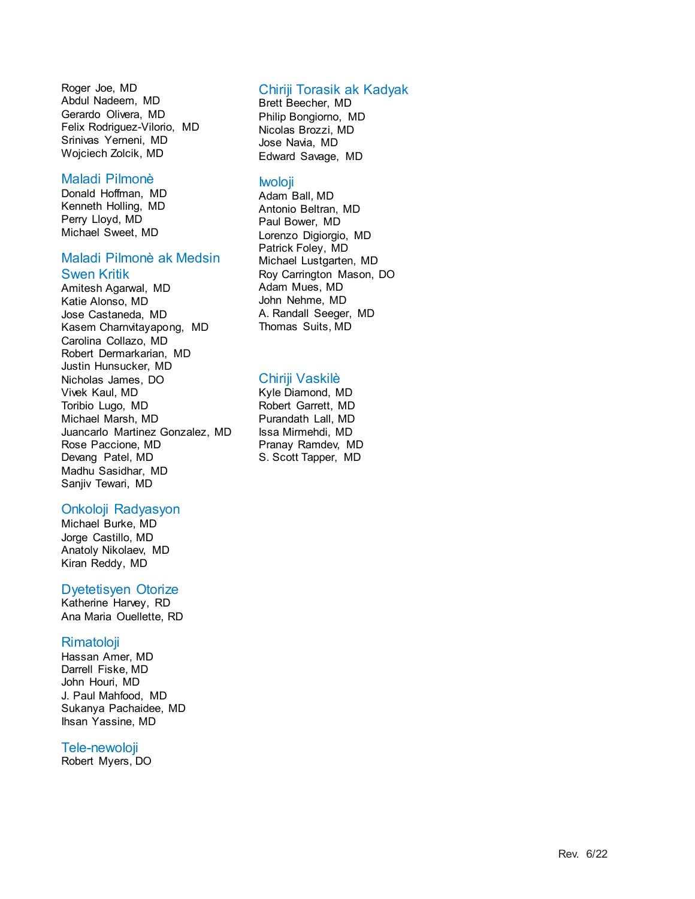Roger Joe, MD Abdul Nadeem, MD Gerardo Olivera, MD Felix Rodriguez -Vilorio, MD Srinivas Yerneni, MD Wojciech Zolcik, MD

#### Maladi Pilmonè

Donald Hoffman, MD Kenneth Holling, MD Perry Lloyd, MD Michael Sweet, MD

#### Maladi Pilmonè ak Medsin Swen Kritik

Amitesh Agarwal, MD Katie Alonso, MD Jose Castaneda, MD Kasem Charnvitayapong, MD Carolina Collazo, MD Robert Dermarkarian, MD Justin Hunsucker, MD Nicholas James, DO Vivek Kaul, MD Toribio Lugo, MD Michael Marsh, MD Juancarlo Martinez Gonzalez, MD Rose Paccione, MD Devang Patel, MD Madhu Sasidhar, MD Sanjiv Tewari, MD

## Onkoloji Radyasyon

Michael Burke, MD Jorge Castillo, MD Anatoly Nikolaev, MD Kiran Reddy, MD

#### Dyetetisyen Otorize

Katherine Harvey, RD Ana Maria Ouellette, RD

#### **Rimatoloji**

Hassan Amer, MD Darrell Fiske, MD John Houri, MD J. Paul Mahfood, MD Sukanya Pachaidee, MD Ihsan Yassine, MD

## Tele -newoloji

Robert Myers, DO

### Chiriji Torasik ak Kadyak

Brett Beecher, MD Philip Bongiorno, MD Nicolas Brozzi, MD Jose Navia, MD Edward Savage, MD

#### Iwoloji

Adam Ball, MD Antonio Beltran, MD Paul Bower, MD Lorenzo Digiorgio, MD Patrick Foley, MD Michael Lustgarten, MD Roy Carrington Mason, DO Adam Mues, MD John Nehme, MD A. Randall Seeger, MD Thomas Suits, MD

### Chiriji Vaskilè

Kyle Diamond, MD Robert Garrett, MD Purandath Lall, MD Issa Mirmehdi, MD Pranay Ramdev, MD S. Scott Tapper, MD